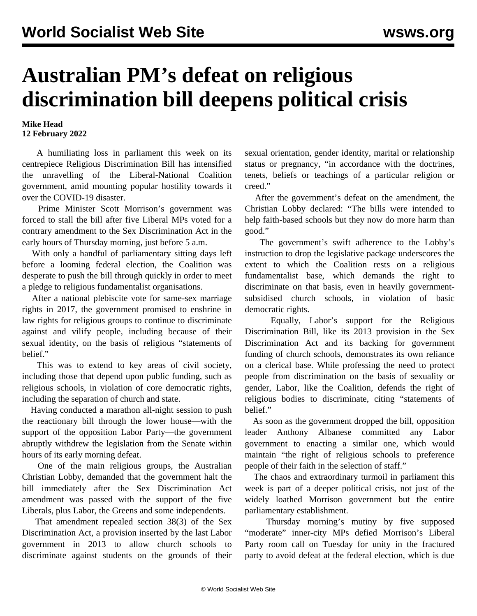## **Australian PM's defeat on religious discrimination bill deepens political crisis**

## **Mike Head 12 February 2022**

 A humiliating loss in parliament this week on its centrepiece Religious Discrimination Bill has intensified the unravelling of the Liberal-National Coalition government, amid mounting popular hostility towards it over the COVID-19 disaster.

 Prime Minister Scott Morrison's government was forced to stall the bill after five Liberal MPs voted for a contrary amendment to the Sex Discrimination Act in the early hours of Thursday morning, just before 5 a.m.

 With only a handful of parliamentary sitting days left before a looming federal election, the Coalition was desperate to push the bill through quickly in order to meet a pledge to religious fundamentalist organisations.

 After a national plebiscite vote for same-sex marriage rights in 2017, the government promised to enshrine in law rights for religious groups to continue to discriminate against and vilify people, including because of their sexual identity, on the basis of religious "statements of belief."

 This was to extend to key areas of civil society, including those that depend upon public funding, such as religious schools, in violation of core democratic rights, including the separation of church and state.

 Having conducted a marathon all-night session to push the reactionary bill through the lower house—with the support of the opposition Labor Party—the government abruptly withdrew the legislation from the Senate within hours of its early morning defeat.

 One of the main religious groups, the Australian Christian Lobby, demanded that the government halt the bill immediately after the Sex Discrimination Act amendment was passed with the support of the five Liberals, plus Labor, the Greens and some independents.

 That amendment repealed section 38(3) of the Sex Discrimination Act, a provision inserted by the last Labor government in 2013 to allow church schools to discriminate against students on the grounds of their

sexual orientation, gender identity, marital or relationship status or pregnancy, "in accordance with the doctrines, tenets, beliefs or teachings of a particular religion or creed."

 After the government's defeat on the amendment, the Christian Lobby declared: "The bills were intended to help faith-based schools but they now do more harm than good."

 The government's swift adherence to the Lobby's instruction to drop the legislative package underscores the extent to which the Coalition rests on a religious fundamentalist base, which demands the right to discriminate on that basis, even in heavily governmentsubsidised church schools, in violation of basic democratic rights.

 Equally, Labor's support for the Religious Discrimination Bill, like its 2013 provision in the Sex Discrimination Act and its backing for government funding of church schools, demonstrates its own reliance on a clerical base. While professing the need to protect people from discrimination on the basis of sexuality or gender, Labor, like the Coalition, defends the right of religious bodies to discriminate, citing "statements of belief."

 As soon as the government dropped the bill, opposition leader Anthony Albanese committed any Labor government to enacting a similar one, which would maintain "the right of religious schools to preference people of their faith in the selection of staff."

 The chaos and extraordinary turmoil in parliament this week is part of a deeper political crisis, not just of the widely loathed Morrison government but the entire parliamentary establishment.

 Thursday morning's mutiny by five supposed "moderate" inner-city MPs defied Morrison's Liberal Party room call on Tuesday for unity in the fractured party to avoid defeat at the federal election, which is due